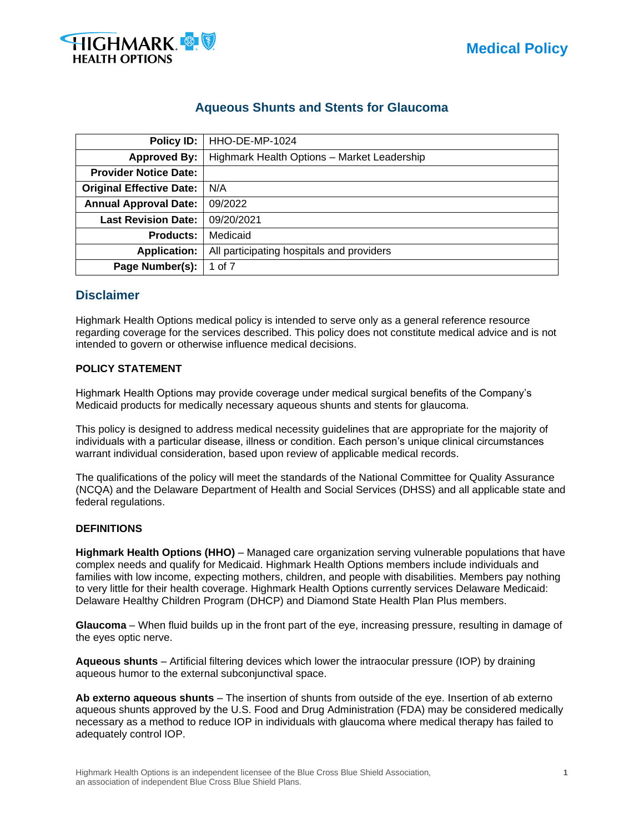

# **Aqueous Shunts and Stents for Glaucoma**

| Policy ID:                      | HHO-DE-MP-1024                              |  |  |  |  |
|---------------------------------|---------------------------------------------|--|--|--|--|
| <b>Approved By:</b>             | Highmark Health Options - Market Leadership |  |  |  |  |
| <b>Provider Notice Date:</b>    |                                             |  |  |  |  |
| <b>Original Effective Date:</b> | N/A                                         |  |  |  |  |
| <b>Annual Approval Date:</b>    | 09/2022                                     |  |  |  |  |
| <b>Last Revision Date:</b>      | 09/20/2021                                  |  |  |  |  |
| <b>Products:</b>                | Medicaid                                    |  |  |  |  |
| <b>Application:</b>             | All participating hospitals and providers   |  |  |  |  |
| Page Number(s):                 | 1 of 7                                      |  |  |  |  |

# **Disclaimer**

Highmark Health Options medical policy is intended to serve only as a general reference resource regarding coverage for the services described. This policy does not constitute medical advice and is not intended to govern or otherwise influence medical decisions.

# **POLICY STATEMENT**

Highmark Health Options may provide coverage under medical surgical benefits of the Company's Medicaid products for medically necessary aqueous shunts and stents for glaucoma.

This policy is designed to address medical necessity guidelines that are appropriate for the majority of individuals with a particular disease, illness or condition. Each person's unique clinical circumstances warrant individual consideration, based upon review of applicable medical records.

The qualifications of the policy will meet the standards of the National Committee for Quality Assurance (NCQA) and the Delaware Department of Health and Social Services (DHSS) and all applicable state and federal regulations.

# **DEFINITIONS**

**Highmark Health Options (HHO)** – Managed care organization serving vulnerable populations that have complex needs and qualify for Medicaid. Highmark Health Options members include individuals and families with low income, expecting mothers, children, and people with disabilities. Members pay nothing to very little for their health coverage. Highmark Health Options currently services Delaware Medicaid: Delaware Healthy Children Program (DHCP) and Diamond State Health Plan Plus members.

**Glaucoma** – When fluid builds up in the front part of the eye, increasing pressure, resulting in damage of the eyes optic nerve.

**Aqueous shunts** – Artificial filtering devices which lower the intraocular pressure (IOP) by draining aqueous humor to the external subconjunctival space.

**Ab externo aqueous shunts** – The insertion of shunts from outside of the eye. Insertion of ab externo aqueous shunts approved by the U.S. Food and Drug Administration (FDA) may be considered medically necessary as a method to reduce IOP in individuals with glaucoma where medical therapy has failed to adequately control IOP.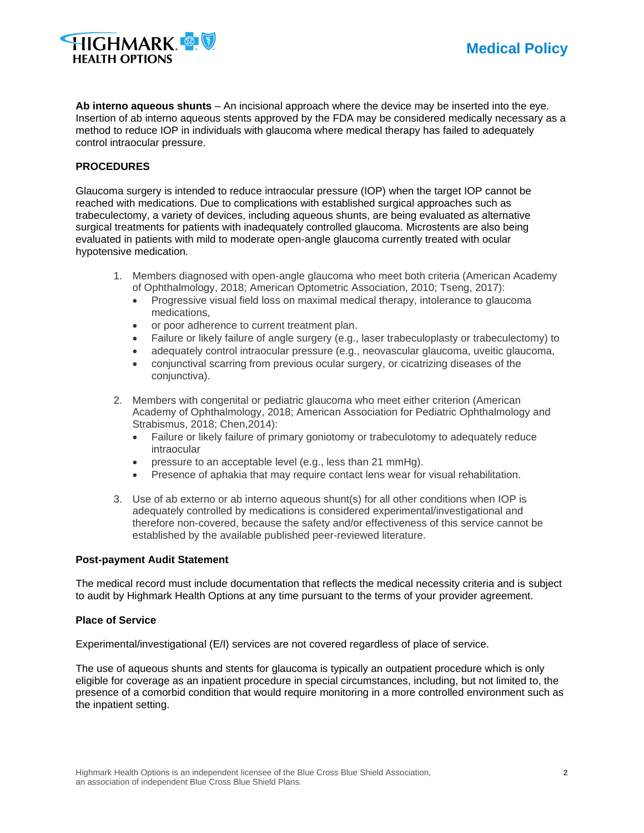

**Ab interno aqueous shunts** – An incisional approach where the device may be inserted into the eye. Insertion of ab interno aqueous stents approved by the FDA may be considered medically necessary as a method to reduce IOP in individuals with glaucoma where medical therapy has failed to adequately control intraocular pressure.

# **PROCEDURES**

Glaucoma surgery is intended to reduce intraocular pressure (IOP) when the target IOP cannot be reached with medications. Due to complications with established surgical approaches such as trabeculectomy, a variety of devices, including aqueous shunts, are being evaluated as alternative surgical treatments for patients with inadequately controlled glaucoma. Microstents are also being evaluated in patients with mild to moderate open-angle glaucoma currently treated with ocular hypotensive medication.

- 1. Members diagnosed with open-angle glaucoma who meet both criteria (American Academy of Ophthalmology, 2018; American Optometric Association, 2010; Tseng, 2017):
	- Progressive visual field loss on maximal medical therapy, intolerance to glaucoma medications,
	- or poor adherence to current treatment plan.
	- Failure or likely failure of angle surgery (e.g., laser trabeculoplasty or trabeculectomy) to
	- adequately control intraocular pressure (e.g., neovascular glaucoma, uveitic glaucoma,
	- conjunctival scarring from previous ocular surgery, or cicatrizing diseases of the conjunctiva).
- 2. Members with congenital or pediatric glaucoma who meet either criterion (American Academy of Ophthalmology, 2018; American Association for Pediatric Ophthalmology and Strabismus, 2018; Chen,2014):
	- Failure or likely failure of primary goniotomy or trabeculotomy to adequately reduce intraocular
	- pressure to an acceptable level (e.g., less than 21 mmHg).
	- Presence of aphakia that may require contact lens wear for visual rehabilitation.
- 3. Use of ab externo or ab interno aqueous shunt(s) for all other conditions when IOP is adequately controlled by medications is considered experimental/investigational and therefore non-covered, because the safety and/or effectiveness of this service cannot be established by the available published peer-reviewed literature.

# **Post-payment Audit Statement**

The medical record must include documentation that reflects the medical necessity criteria and is subject to audit by Highmark Health Options at any time pursuant to the terms of your provider agreement.

# **Place of Service**

Experimental/investigational (E/I) services are not covered regardless of place of service.

The use of aqueous shunts and stents for glaucoma is typically an outpatient procedure which is only eligible for coverage as an inpatient procedure in special circumstances, including, but not limited to, the presence of a comorbid condition that would require monitoring in a more controlled environment such as the inpatient setting.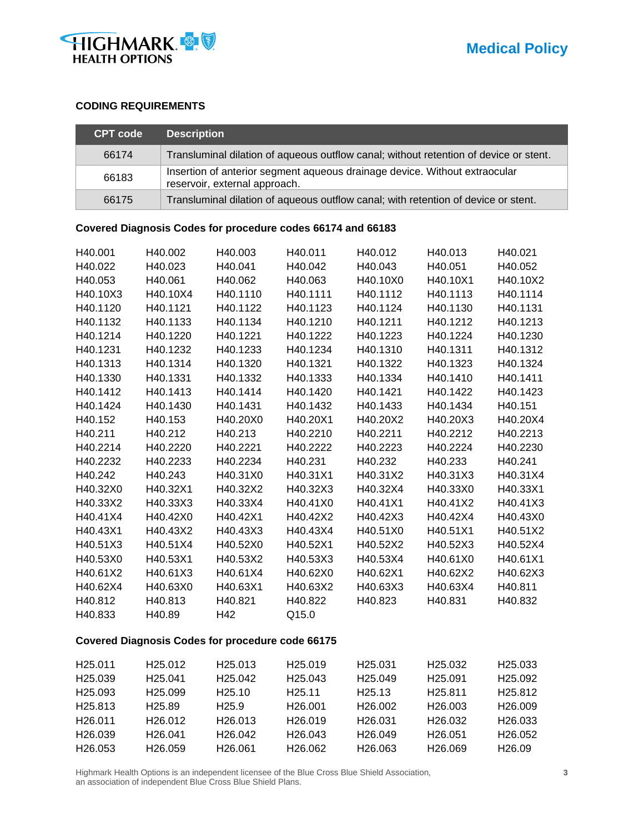

# **CODING REQUIREMENTS**

| <b>CPT code</b> | <b>Description</b>                                                                                          |
|-----------------|-------------------------------------------------------------------------------------------------------------|
| 66174           | Transluminal dilation of aqueous outflow canal; without retention of device or stent.                       |
| 66183           | Insertion of anterior segment aqueous drainage device. Without extraocular<br>reservoir, external approach. |
| 66175           | Transluminal dilation of aqueous outflow canal; with retention of device or stent.                          |

# **Covered Diagnosis Codes for procedure codes 66174 and 66183**

| H40.001  | H40.002  | H40.003  | H40.011  | H40.012  | H40.013  | H40.021  |
|----------|----------|----------|----------|----------|----------|----------|
| H40.022  | H40.023  | H40.041  | H40.042  | H40.043  | H40.051  | H40.052  |
| H40.053  | H40.061  | H40.062  | H40.063  | H40.10X0 | H40.10X1 | H40.10X2 |
| H40.10X3 | H40.10X4 | H40.1110 | H40.1111 | H40.1112 | H40.1113 | H40.1114 |
| H40.1120 | H40.1121 | H40.1122 | H40.1123 | H40.1124 | H40.1130 | H40.1131 |
| H40.1132 | H40.1133 | H40.1134 | H40.1210 | H40.1211 | H40.1212 | H40.1213 |
| H40.1214 | H40.1220 | H40.1221 | H40.1222 | H40.1223 | H40.1224 | H40.1230 |
| H40.1231 | H40.1232 | H40.1233 | H40.1234 | H40.1310 | H40.1311 | H40.1312 |
| H40.1313 | H40.1314 | H40.1320 | H40.1321 | H40.1322 | H40.1323 | H40.1324 |
| H40.1330 | H40.1331 | H40.1332 | H40.1333 | H40.1334 | H40.1410 | H40.1411 |
| H40.1412 | H40.1413 | H40.1414 | H40.1420 | H40.1421 | H40.1422 | H40.1423 |
| H40.1424 | H40.1430 | H40.1431 | H40.1432 | H40.1433 | H40.1434 | H40.151  |
| H40.152  | H40.153  | H40.20X0 | H40.20X1 | H40.20X2 | H40.20X3 | H40.20X4 |
| H40.211  | H40.212  | H40.213  | H40.2210 | H40.2211 | H40.2212 | H40.2213 |
| H40.2214 | H40.2220 | H40.2221 | H40.2222 | H40.2223 | H40.2224 | H40.2230 |
| H40.2232 | H40.2233 | H40.2234 | H40.231  | H40.232  | H40.233  | H40.241  |
| H40.242  | H40.243  | H40.31X0 | H40.31X1 | H40.31X2 | H40.31X3 | H40.31X4 |
| H40.32X0 | H40.32X1 | H40.32X2 | H40.32X3 | H40.32X4 | H40.33X0 | H40.33X1 |
| H40.33X2 | H40.33X3 | H40.33X4 | H40.41X0 | H40.41X1 | H40.41X2 | H40.41X3 |
| H40.41X4 | H40.42X0 | H40.42X1 | H40.42X2 | H40.42X3 | H40.42X4 | H40.43X0 |
| H40.43X1 | H40.43X2 | H40.43X3 | H40.43X4 | H40.51X0 | H40.51X1 | H40.51X2 |
| H40.51X3 | H40.51X4 | H40.52X0 | H40.52X1 | H40.52X2 | H40.52X3 | H40.52X4 |
| H40.53X0 | H40.53X1 | H40.53X2 | H40.53X3 | H40.53X4 | H40.61X0 | H40.61X1 |
| H40.61X2 | H40.61X3 | H40.61X4 | H40.62X0 | H40.62X1 | H40.62X2 | H40.62X3 |
| H40.62X4 | H40.63X0 | H40.63X1 | H40.63X2 | H40.63X3 | H40.63X4 | H40.811  |
| H40.812  | H40.813  | H40.821  | H40.822  | H40.823  | H40.831  | H40.832  |
| H40.833  | H40.89   | H42      | Q15.0    |          |          |          |

# **Covered Diagnosis Codes for procedure code 66175**

| H <sub>25.011</sub> | H <sub>25.012</sub> | H <sub>25.013</sub>  | H <sub>25.019</sub>  | H <sub>25.031</sub> | H <sub>25.032</sub>  | H <sub>25.033</sub>  |
|---------------------|---------------------|----------------------|----------------------|---------------------|----------------------|----------------------|
| H <sub>25.039</sub> | H <sub>25.041</sub> | H <sub>25.042</sub>  | H <sub>25.043</sub>  | H <sub>25.049</sub> | H <sub>25.091</sub>  | H <sub>25.092</sub>  |
| H <sub>25.093</sub> | H <sub>25.099</sub> | H <sub>25.10</sub>   | H <sub>25</sub> .11  | H <sub>25.13</sub>  | H <sub>25.811</sub>  | H <sub>25.812</sub>  |
| H <sub>25.813</sub> | H <sub>25.89</sub>  | H <sub>25.9</sub>    | H <sub>26</sub> .001 | H <sub>26.002</sub> | H <sub>26.003</sub>  | H <sub>26.009</sub>  |
| H <sub>26.011</sub> | H <sub>26.012</sub> | H <sub>26</sub> .013 | H <sub>26.019</sub>  | H <sub>26.031</sub> | H <sub>26.0</sub> 32 | H <sub>26</sub> .033 |
| H <sub>26.039</sub> | H <sub>26.041</sub> | H <sub>26.042</sub>  | H <sub>26</sub> .043 | H <sub>26.049</sub> | H <sub>26.051</sub>  | H <sub>26.052</sub>  |
| H <sub>26.053</sub> | H <sub>26.059</sub> | H <sub>26.061</sub>  | H <sub>26.062</sub>  | H <sub>26.063</sub> | H <sub>26.069</sub>  | H <sub>26.09</sub>   |

Highmark Health Options is an independent licensee of the Blue Cross Blue Shield Association, **3** an association of independent Blue Cross Blue Shield Plans.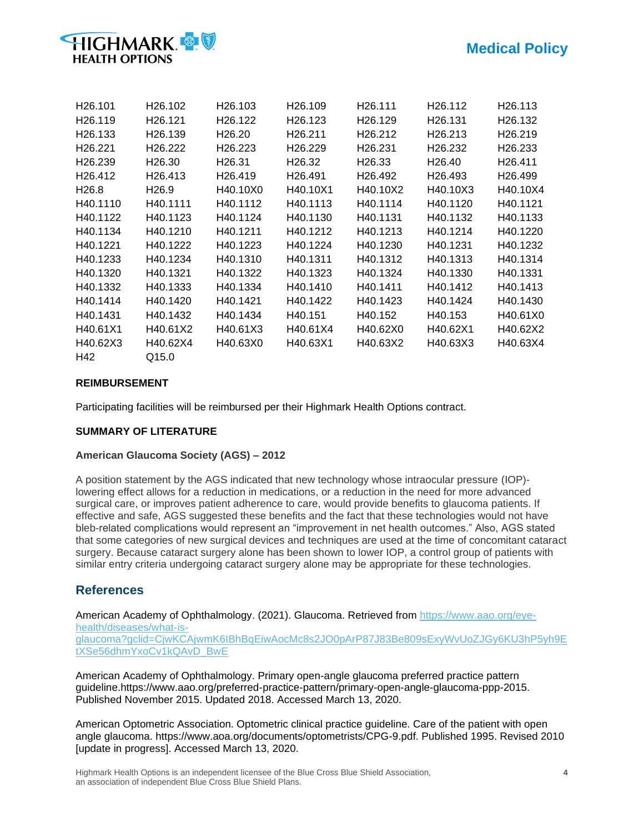

| H <sub>26</sub> .101 | H <sub>26</sub> .102 | H <sub>26</sub> .103 | H <sub>26</sub> .109 | H <sub>26</sub> .111 | H <sub>26</sub> .112 | H <sub>26</sub> .113 |
|----------------------|----------------------|----------------------|----------------------|----------------------|----------------------|----------------------|
| H <sub>26.119</sub>  | H <sub>26</sub> .121 | H <sub>26.122</sub>  | H <sub>26</sub> .123 | H <sub>26</sub> .129 | H <sub>26</sub> .131 | H <sub>26</sub> .132 |
| H <sub>26</sub> .133 | H <sub>26</sub> .139 | H <sub>26.20</sub>   | H <sub>26</sub> .211 | H26.212              | H <sub>26</sub> .213 | H <sub>26</sub> .219 |
| H <sub>26</sub> .221 | H <sub>26</sub> .222 | H <sub>26.223</sub>  | H <sub>26.229</sub>  | H <sub>26</sub> .231 | H <sub>26</sub> .232 | H <sub>26</sub> .233 |
| H <sub>26</sub> .239 | H <sub>26.30</sub>   | H <sub>26</sub> .31  | H <sub>26.32</sub>   | H <sub>26.33</sub>   | H <sub>26.40</sub>   | H <sub>26</sub> .411 |
| H <sub>26</sub> .412 | H <sub>26</sub> .413 | H <sub>26</sub> .419 | H <sub>26</sub> .491 | H <sub>26</sub> .492 | H <sub>26</sub> .493 | H <sub>26</sub> .499 |
| H <sub>26.8</sub>    | H <sub>26.9</sub>    | H40.10X0             | H40.10X1             | H40.10X2             | H40.10X3             | H40.10X4             |
| H40.1110             | H40.1111             | H40.1112             | H40.1113             | H40.1114             | H40.1120             | H40.1121             |
| H40.1122             | H40.1123             | H40.1124             | H40.1130             | H40.1131             | H40.1132             | H40.1133             |
| H40.1134             | H40.1210             | H40.1211             | H40.1212             | H40.1213             | H40.1214             | H40.1220             |
| H40.1221             | H40.1222             | H40.1223             | H40.1224             | H40.1230             | H40.1231             | H40.1232             |
| H40.1233             | H40.1234             | H40.1310             | H40.1311             | H40.1312             | H40.1313             | H40.1314             |
| H40.1320             | H40.1321             | H40.1322             | H40.1323             | H40.1324             | H40.1330             | H40.1331             |
| H40.1332             | H40.1333             | H40.1334             | H40.1410             | H40.1411             | H40.1412             | H40.1413             |
| H40.1414             | H40.1420             | H40.1421             | H40.1422             | H40.1423             | H40.1424             | H40.1430             |
| H40.1431             | H40.1432             | H40.1434             | H40.151              | H40.152              | H40.153              | H40.61X0             |
| H40.61X1             | H40.61X2             | H40.61X3             | H40.61X4             | H40.62X0             | H40.62X1             | H40.62X2             |
| H40.62X3             | H40.62X4             | H40.63X0             | H40.63X1             | H40.63X2             | H40.63X3             | H40.63X4             |
| H42                  | Q15.0                |                      |                      |                      |                      |                      |

# **REIMBURSEMENT**

Participating facilities will be reimbursed per their Highmark Health Options contract.

# **SUMMARY OF LITERATURE**

# **American Glaucoma Society (AGS) – 2012**

A position statement by the AGS indicated that new technology whose intraocular pressure (IOP) lowering effect allows for a reduction in medications, or a reduction in the need for more advanced surgical care, or improves patient adherence to care, would provide benefits to glaucoma patients. If effective and safe, AGS suggested these benefits and the fact that these technologies would not have bleb-related complications would represent an "improvement in net health outcomes." Also, AGS stated that some categories of new surgical devices and techniques are used at the time of concomitant cataract surgery. Because cataract surgery alone has been shown to lower IOP, a control group of patients with similar entry criteria undergoing cataract surgery alone may be appropriate for these technologies.

# **References**

American Academy of Ophthalmology. (2021). Glaucoma. Retrieved from [https://www.aao.org/eye](https://www.aao.org/eye-health/diseases/what-is-glaucoma?gclid=CjwKCAjwmK6IBhBqEiwAocMc8s2JO0pArP87J83Be809sExyWvUoZJGy6KU3hP5yh9EtXSe56dhmYxoCv1kQAvD_BwE)[health/diseases/what-is](https://www.aao.org/eye-health/diseases/what-is-glaucoma?gclid=CjwKCAjwmK6IBhBqEiwAocMc8s2JO0pArP87J83Be809sExyWvUoZJGy6KU3hP5yh9EtXSe56dhmYxoCv1kQAvD_BwE)[glaucoma?gclid=CjwKCAjwmK6IBhBqEiwAocMc8s2JO0pArP87J83Be809sExyWvUoZJGy6KU3hP5yh9E](https://www.aao.org/eye-health/diseases/what-is-glaucoma?gclid=CjwKCAjwmK6IBhBqEiwAocMc8s2JO0pArP87J83Be809sExyWvUoZJGy6KU3hP5yh9EtXSe56dhmYxoCv1kQAvD_BwE) [tXSe56dhmYxoCv1kQAvD\\_BwE](https://www.aao.org/eye-health/diseases/what-is-glaucoma?gclid=CjwKCAjwmK6IBhBqEiwAocMc8s2JO0pArP87J83Be809sExyWvUoZJGy6KU3hP5yh9EtXSe56dhmYxoCv1kQAvD_BwE)

American Academy of Ophthalmology. Primary open-angle glaucoma preferred practice pattern guideline.https://www.aao.org/preferred-practice-pattern/primary-open-angle-glaucoma-ppp-2015. Published November 2015. Updated 2018. Accessed March 13, 2020.

American Optometric Association. Optometric clinical practice guideline. Care of the patient with open angle glaucoma. https://www.aoa.org/documents/optometrists/CPG-9.pdf. Published 1995. Revised 2010 [update in progress]. Accessed March 13, 2020.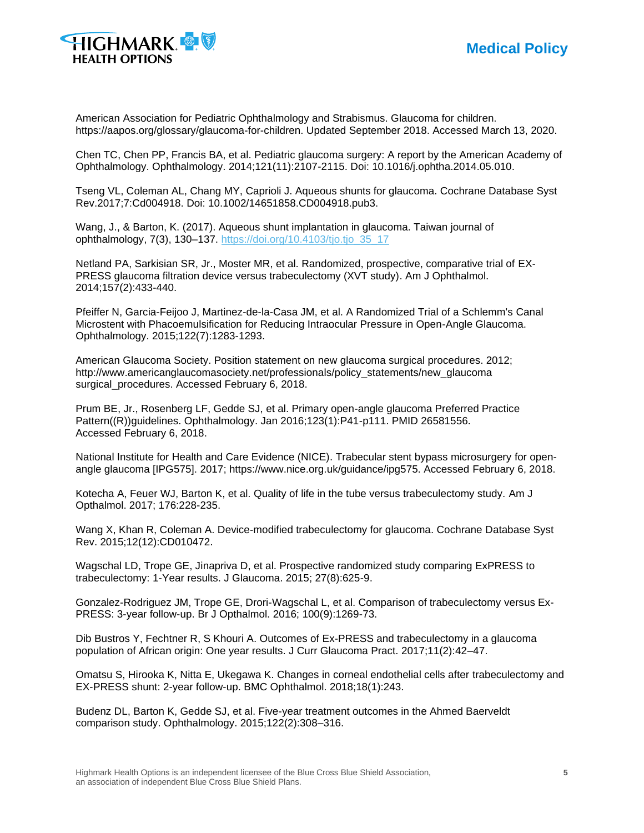



American Association for Pediatric Ophthalmology and Strabismus. Glaucoma for children. https://aapos.org/glossary/glaucoma-for-children. Updated September 2018. Accessed March 13, 2020.

Chen TC, Chen PP, Francis BA, et al. Pediatric glaucoma surgery: A report by the American Academy of Ophthalmology. Ophthalmology. 2014;121(11):2107-2115. Doi: 10.1016/j.ophtha.2014.05.010.

Tseng VL, Coleman AL, Chang MY, Caprioli J. Aqueous shunts for glaucoma. Cochrane Database Syst Rev.2017;7:Cd004918. Doi: 10.1002/14651858.CD004918.pub3.

Wang, J., & Barton, K. (2017). Aqueous shunt implantation in glaucoma. Taiwan journal of ophthalmology, 7(3), 130–137. [https://doi.org/10.4103/tjo.tjo\\_35\\_17](https://doi.org/10.4103/tjo.tjo_35_17)

Netland PA, Sarkisian SR, Jr., Moster MR, et al. Randomized, prospective, comparative trial of EX-PRESS glaucoma filtration device versus trabeculectomy (XVT study). Am J Ophthalmol. 2014;157(2):433-440.

Pfeiffer N, Garcia-Feijoo J, Martinez-de-la-Casa JM, et al. A Randomized Trial of a Schlemm's Canal Microstent with Phacoemulsification for Reducing Intraocular Pressure in Open-Angle Glaucoma. Ophthalmology. 2015;122(7):1283-1293.

American Glaucoma Society. Position statement on new glaucoma surgical procedures. 2012; http://www.americanglaucomasociety.net/professionals/policy\_statements/new\_glaucoma surgical procedures. Accessed February 6, 2018.

Prum BE, Jr., Rosenberg LF, Gedde SJ, et al. Primary open-angle glaucoma Preferred Practice Pattern((R))guidelines. Ophthalmology. Jan 2016;123(1):P41-p111. PMID 26581556. Accessed February 6, 2018.

National Institute for Health and Care Evidence (NICE). Trabecular stent bypass microsurgery for openangle glaucoma [IPG575]. 2017; https://www.nice.org.uk/guidance/ipg575. Accessed February 6, 2018.

Kotecha A, Feuer WJ, Barton K, et al. Quality of life in the tube versus trabeculectomy study. Am J Opthalmol. 2017; 176:228-235.

Wang X, Khan R, Coleman A. Device-modified trabeculectomy for glaucoma. Cochrane Database Syst Rev. 2015;12(12):CD010472.

Wagschal LD, Trope GE, Jinapriva D, et al. Prospective randomized study comparing ExPRESS to trabeculectomy: 1-Year results. J Glaucoma. 2015; 27(8):625-9.

Gonzalez-Rodriguez JM, Trope GE, Drori-Wagschal L, et al. Comparison of trabeculectomy versus Ex-PRESS: 3-year follow-up. Br J Opthalmol. 2016; 100(9):1269-73.

Dib Bustros Y, Fechtner R, S Khouri A. Outcomes of Ex-PRESS and trabeculectomy in a glaucoma population of African origin: One year results. J Curr Glaucoma Pract. 2017;11(2):42–47.

Omatsu S, Hirooka K, Nitta E, Ukegawa K. Changes in corneal endothelial cells after trabeculectomy and EX-PRESS shunt: 2-year follow-up. BMC Ophthalmol. 2018;18(1):243.

Budenz DL, Barton K, Gedde SJ, et al. Five-year treatment outcomes in the Ahmed Baerveldt comparison study. Ophthalmology. 2015;122(2):308–316.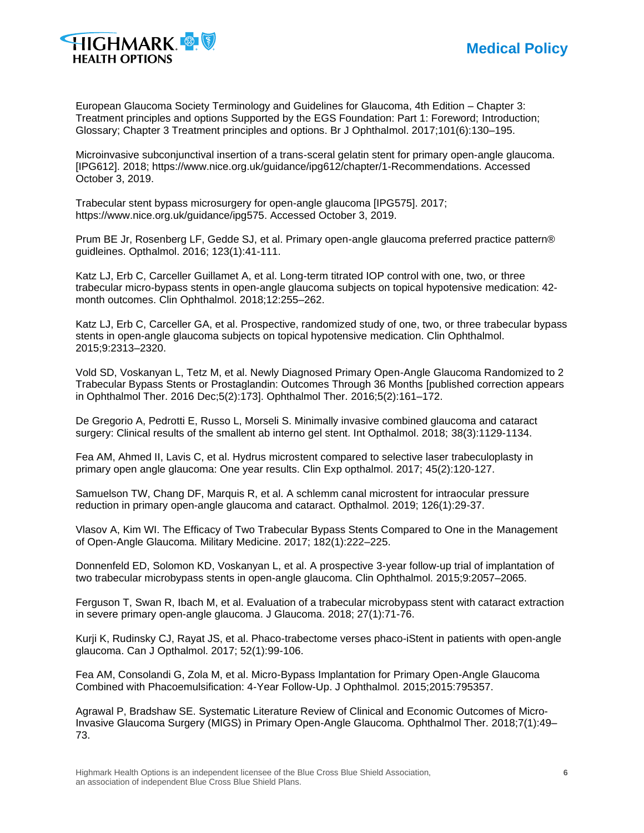

European Glaucoma Society Terminology and Guidelines for Glaucoma, 4th Edition – Chapter 3: Treatment principles and options Supported by the EGS Foundation: Part 1: Foreword; Introduction; Glossary; Chapter 3 Treatment principles and options. Br J Ophthalmol. 2017;101(6):130–195.

Microinvasive subconjunctival insertion of a trans-sceral gelatin stent for primary open-angle glaucoma. [IPG612]. 2018; https://www.nice.org.uk/guidance/ipg612/chapter/1-Recommendations. Accessed October 3, 2019.

Trabecular stent bypass microsurgery for open-angle glaucoma [IPG575]. 2017; https://www.nice.org.uk/guidance/ipg575. Accessed October 3, 2019.

Prum BE Jr, Rosenberg LF, Gedde SJ, et al. Primary open-angle glaucoma preferred practice pattern® guidleines. Opthalmol. 2016; 123(1):41-111.

Katz LJ, Erb C, Carceller Guillamet A, et al. Long-term titrated IOP control with one, two, or three trabecular micro-bypass stents in open-angle glaucoma subjects on topical hypotensive medication: 42 month outcomes. Clin Ophthalmol. 2018;12:255–262.

Katz LJ, Erb C, Carceller GA, et al. Prospective, randomized study of one, two, or three trabecular bypass stents in open-angle glaucoma subjects on topical hypotensive medication. Clin Ophthalmol. 2015;9:2313–2320.

Vold SD, Voskanyan L, Tetz M, et al. Newly Diagnosed Primary Open-Angle Glaucoma Randomized to 2 Trabecular Bypass Stents or Prostaglandin: Outcomes Through 36 Months [published correction appears in Ophthalmol Ther. 2016 Dec;5(2):173]. Ophthalmol Ther. 2016;5(2):161–172.

De Gregorio A, Pedrotti E, Russo L, Morseli S. Minimally invasive combined glaucoma and cataract surgery: Clinical results of the smallent ab interno gel stent. Int Opthalmol. 2018; 38(3):1129-1134.

Fea AM, Ahmed II, Lavis C, et al. Hydrus microstent compared to selective laser trabeculoplasty in primary open angle glaucoma: One year results. Clin Exp opthalmol. 2017; 45(2):120-127.

Samuelson TW, Chang DF, Marquis R, et al. A schlemm canal microstent for intraocular pressure reduction in primary open-angle glaucoma and cataract. Opthalmol. 2019; 126(1):29-37.

Vlasov A, Kim WI. The Efficacy of Two Trabecular Bypass Stents Compared to One in the Management of Open-Angle Glaucoma. Military Medicine. 2017; 182(1):222–225.

Donnenfeld ED, Solomon KD, Voskanyan L, et al. A prospective 3-year follow-up trial of implantation of two trabecular microbypass stents in open-angle glaucoma. Clin Ophthalmol. 2015;9:2057–2065.

Ferguson T, Swan R, Ibach M, et al. Evaluation of a trabecular microbypass stent with cataract extraction in severe primary open-angle glaucoma. J Glaucoma. 2018; 27(1):71-76.

Kurji K, Rudinsky CJ, Rayat JS, et al. Phaco-trabectome verses phaco-iStent in patients with open-angle glaucoma. Can J Opthalmol. 2017; 52(1):99-106.

Fea AM, Consolandi G, Zola M, et al. Micro-Bypass Implantation for Primary Open-Angle Glaucoma Combined with Phacoemulsification: 4-Year Follow-Up. J Ophthalmol. 2015;2015:795357.

Agrawal P, Bradshaw SE. Systematic Literature Review of Clinical and Economic Outcomes of Micro-Invasive Glaucoma Surgery (MIGS) in Primary Open-Angle Glaucoma. Ophthalmol Ther. 2018;7(1):49– 73.